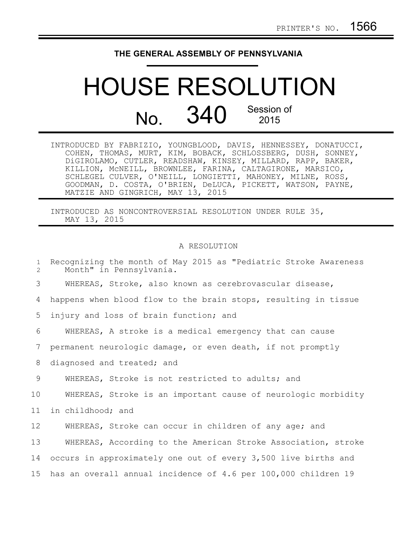## **THE GENERAL ASSEMBLY OF PENNSYLVANIA**

## HOUSE RESOLUTION No. 340 Session of 2015

| INTRODUCED BY FABRIZIO, YOUNGBLOOD, DAVIS, HENNESSEY, DONATUCCI, |  |  |
|------------------------------------------------------------------|--|--|
| COHEN, THOMAS, MURT, KIM, BOBACK, SCHLOSSBERG, DUSH, SONNEY,     |  |  |
| DiGIROLAMO, CUTLER, READSHAW, KINSEY, MILLARD, RAPP, BAKER,      |  |  |
| KILLION, MCNEILL, BROWNLEE, FARINA, CALTAGIRONE, MARSICO,        |  |  |
| SCHLEGEL CULVER, O'NEILL, LONGIETTI, MAHONEY, MILNE, ROSS,       |  |  |
| GOODMAN, D. COSTA, O'BRIEN, DeLUCA, PICKETT, WATSON, PAYNE,      |  |  |
| MATZIE AND GINGRICH, MAY 13, 2015                                |  |  |

INTRODUCED AS NONCONTROVERSIAL RESOLUTION UNDER RULE 35, MAY 13, 2015

## A RESOLUTION

| $\mathbf{1}$<br>$\overline{2}$ | Recognizing the month of May 2015 as "Pediatric Stroke Awareness<br>Month" in Pennsylvania. |
|--------------------------------|---------------------------------------------------------------------------------------------|
| 3                              | WHEREAS, Stroke, also known as cerebrovascular disease,                                     |
| 4                              | happens when blood flow to the brain stops, resulting in tissue                             |
| 5                              | injury and loss of brain function; and                                                      |
| 6                              | WHEREAS, A stroke is a medical emergency that can cause                                     |
| 7                              | permanent neurologic damage, or even death, if not promptly                                 |
| 8                              | diagnosed and treated; and                                                                  |
| 9                              | WHEREAS, Stroke is not restricted to adults; and                                            |
| 10                             | WHEREAS, Stroke is an important cause of neurologic morbidity                               |
| 11                             | in childhood; and                                                                           |
| 12                             | WHEREAS, Stroke can occur in children of any age; and                                       |
| 13                             | WHEREAS, According to the American Stroke Association, stroke                               |
| 14                             | occurs in approximately one out of every 3,500 live births and                              |
| 15 <sub>1</sub>                | has an overall annual incidence of 4.6 per 100,000 children 19                              |
|                                |                                                                                             |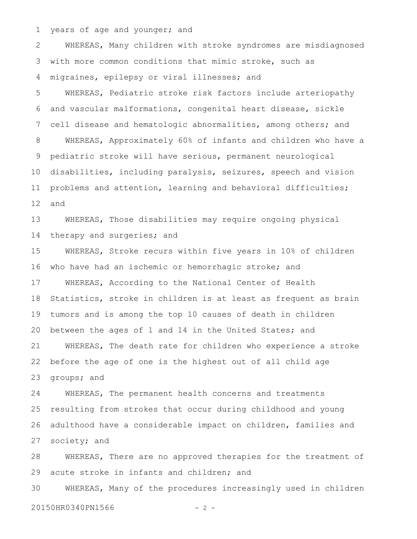years of age and younger; and 1

WHEREAS, Many children with stroke syndromes are misdiagnosed with more common conditions that mimic stroke, such as migraines, epilepsy or viral illnesses; and 2 3 4

WHEREAS, Pediatric stroke risk factors include arteriopathy and vascular malformations, congenital heart disease, sickle cell disease and hematologic abnormalities, among others; and WHEREAS, Approximately 60% of infants and children who have a pediatric stroke will have serious, permanent neurological disabilities, including paralysis, seizures, speech and vision problems and attention, learning and behavioral difficulties; and 5 6 7 8 9 10 11 12

WHEREAS, Those disabilities may require ongoing physical therapy and surgeries; and 13 14

WHEREAS, Stroke recurs within five years in 10% of children who have had an ischemic or hemorrhagic stroke; and WHEREAS, According to the National Center of Health Statistics, stroke in children is at least as frequent as brain tumors and is among the top 10 causes of death in children between the ages of 1 and 14 in the United States; and WHEREAS, The death rate for children who experience a stroke before the age of one is the highest out of all child age groups; and 15 16 17 18 19 20 21 22 23

WHEREAS, The permanent health concerns and treatments resulting from strokes that occur during childhood and young adulthood have a considerable impact on children, families and society; and 24 25 26 27

WHEREAS, There are no approved therapies for the treatment of acute stroke in infants and children; and 28 29

WHEREAS, Many of the procedures increasingly used in children 30

20150HR0340PN1566 - 2 -